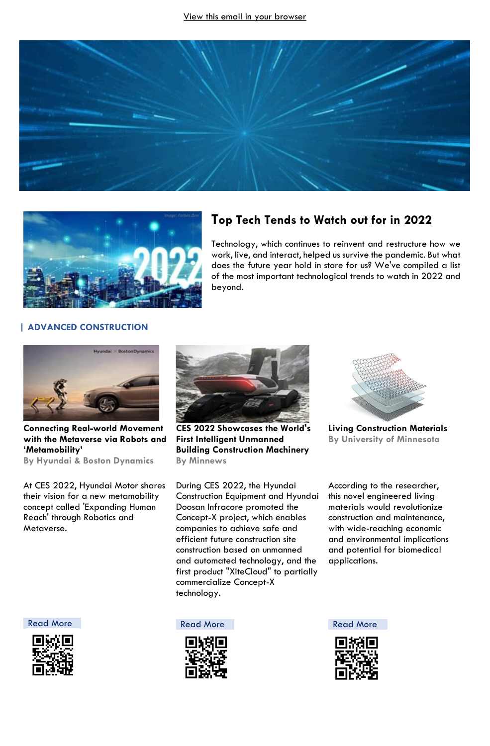



# **Top Tech Tends to Watch out for in 2022**

Technology, which continues to reinvent and restructure how we work, live, and interact, helped us survive the pandemic. But what does the future year hold in store for us? We've compiled a list of the most important technological trends to watch in 2022 and beyond.

## **| ADVANCED CONSTRUCTION**



**Connecting Real-world Movement with the Metaverse via Robots and 'Metamobility'**

**By Hyundai & Boston Dynamics**

At CES 2022, Hyundai Motor shares their vision for a new metamobility concept called 'Expanding Human Reach' through Robotics and Metaverse.



**CES 2022 Showcases the World's First Intelligent Unmanned Building Construction Machinery By Minnews**

During CES 2022, the Hyundai Construction Equipment and Hyundai Doosan Infracore promoted the Concept-X project, which enables companies to achieve safe and efficient future construction site construction based on unmanned and automated technology, and the first product "XiteCloud" to partially commercialize Concept-X technology.



**Living Construction Materials By University of Minnesota**

According to the researcher, this novel engineered living materials would revolutionize construction and maintenance, with wide-reaching economic and environmental implications and potential for biomedical applications.



[Read More](https://bit.ly/3trjRgQ) **Read More** Read More **Read More** Read More

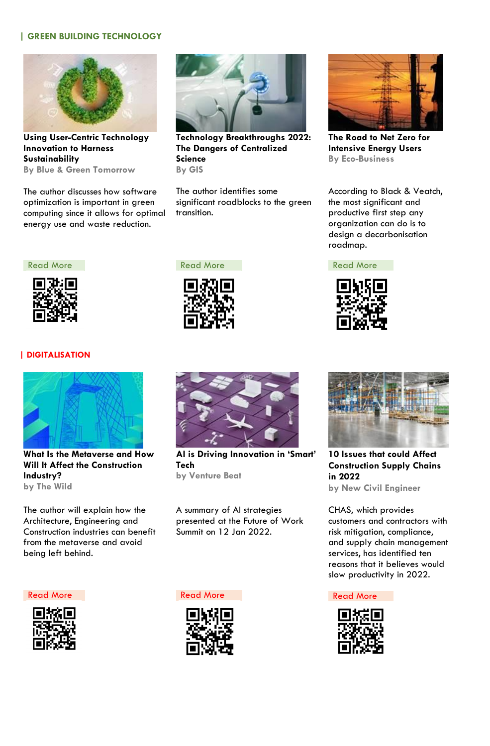### **| GREEN BUILDING TECHNOLOGY**



**Using User-Centric Technology Innovation to Harness Sustainability By Blue & Green Tomorrow**

The author discusses how software optimization is important in green computing since it allows for optimal energy use and waste reduction.



**Technology Breakthroughs 2022: The Dangers of Centralized Science By GIS**

The author identifies some significant roadblocks to the green transition.



**The Road to Net Zero for Intensive Energy Users By Eco-Business**

According to Black & Veatch, the most significant and productive first step any organization can do is to design a decarbonisation roadmap.



### **| DIGITALISATION**



**What Is the Metaverse and How Will It Affect the Construction Industry? by The Wild** 

The author will explain how the Architecture, Engineering and Construction industries can benefit from the metaverse and avoid being left behind.



**AI is Driving Innovation in 'Smart' Tech by Venture Beat**

A summary of AI strategies presented at the Future of Work Summit on 12 Jan 2022.



[Read More](https://bit.ly/33vRaV9) Read More Read More Read More Read More



**10 Issues that could Affect Construction Supply Chains in 2022 by New Civil Engineer**

CHAS, which provides customers and contractors with risk mitigation, compliance, and supply chain management services, has identified ten reasons that it believes would slow productivity in 2022.



[Read More](https://bit.ly/3rkZbof) Read More Read More Read More Read More